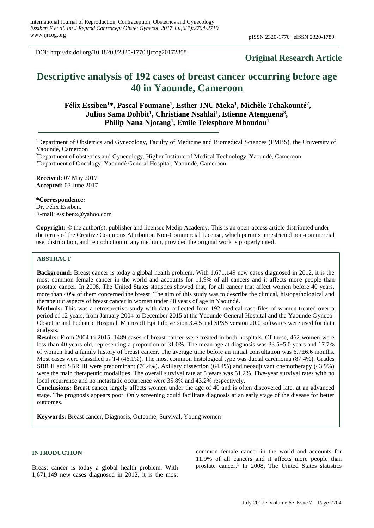DOI: http://dx.doi.org/10.18203/2320-1770.ijrcog20172898

# **Original Research Article**

# **Descriptive analysis of 192 cases of breast cancer occurring before age 40 in Yaounde, Cameroon**

# **Félix Essiben<sup>1</sup>\*, Pascal Foumane<sup>1</sup> , Esther JNU Meka<sup>1</sup> , Michèle Tchakounté<sup>2</sup> , Julius Sama Dohbit<sup>1</sup> , Christiane Nsahlai<sup>1</sup> , Etienne Atenguena<sup>3</sup> , Philip Nana Njotang<sup>1</sup> , Emile Telesphore Mboudou<sup>1</sup>**

<sup>1</sup>Department of Obstetrics and Gynecology, Faculty of Medicine and Biomedical Sciences (FMBS), the University of Yaoundé, Cameroon

<sup>2</sup>Department of obstetrics and Gynecology, Higher Institute of Medical Technology, Yaoundé, Cameroon <sup>3</sup>Department of Oncology, Yaoundé General Hospital, Yaoundé, Cameroon

**Received:** 07 May 2017 **Accepted:** 03 June 2017

**\*Correspondence:** Dr. Félix Essiben, E-mail: essibenx@yahoo.com

**Copyright:** © the author(s), publisher and licensee Medip Academy. This is an open-access article distributed under the terms of the Creative Commons Attribution Non-Commercial License, which permits unrestricted non-commercial use, distribution, and reproduction in any medium, provided the original work is properly cited.

# **ABSTRACT**

**Background:** Breast cancer is today a global health problem. With 1,671,149 new cases diagnosed in 2012, it is the most common female cancer in the world and accounts for 11.9% of all cancers and it affects more people than prostate cancer. In 2008, The United States statistics showed that, for all cancer that affect women before 40 years, more than 40% of them concerned the breast. The aim of this study was to describe the clinical, histopathological and therapeutic aspects of breast cancer in women under 40 years of age in Yaoundé.

**Methods:** This was a retrospective study with data collected from 192 medical case files of women treated over a period of 12 years, from January 2004 to December 2015 at the Yaounde General Hospital and the Yaounde Gyneco-Obstetric and Pediatric Hospital. Microsoft Epi Info version 3.4.5 and SPSS version 20.0 softwares were used for data analysis.

**Results:** From 2004 to 2015, 1489 cases of breast cancer were treated in both hospitals. Of these, 462 women were less than 40 years old, representing a proportion of 31.0%. The mean age at diagnosis was 33.5±5.0 years and 17.7% of women had a family history of breast cancer. The average time before an initial consultation was 6.7±6.6 months. Most cases were classified as T4 (46.1%). The most common histological type was ductal carcinoma (87.4%). Grades SBR II and SBR III were predominant (76.4%). Axillary dissection (64.4%) and neoadjuvant chemotherapy (43.9%) were the main therapeutic modalities. The overall survival rate at 5 years was 51.2%. Five-year survival rates with no local recurrence and no metastatic occurrence were 35.8% and 43.2% respectively.

**Conclusions:** Breast cancer largely affects women under the age of 40 and is often discovered late, at an advanced stage. The prognosis appears poor. Only screening could facilitate diagnosis at an early stage of the disease for better outcomes.

**Keywords:** Breast cancer, Diagnosis, Outcome, Survival, Young women

#### **INTRODUCTION**

Breast cancer is today a global health problem. With 1,671,149 new cases diagnosed in 2012, it is the most common female cancer in the world and accounts for 11.9% of all cancers and it affects more people than prostate cancer.<sup>1</sup> In 2008, The United States statistics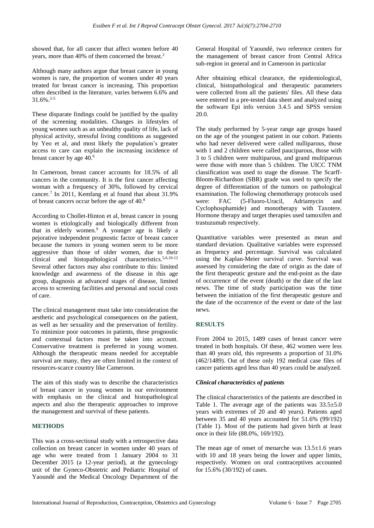showed that, for all cancer that affect women before 40 years, more than 40% of them concerned the breast.<sup>2</sup>

Although many authors argue that breast cancer in young women is rare, the proportion of women under 40 years treated for breast cancer is increasing. This proportion often described in the literature, varies between 6.6% and 31.6%.2-5

These disparate findings could be justified by the quality of the screening modalities. Changes in lifestyles of young women such as an unhealthy quality of life, lack of physical activity, stressful living conditions as suggested by Yeo et al, and most likely the population's greater access to care can explain the increasing incidence of breast cancer by age 40.<sup>6</sup>

In Cameroon, breast cancer accounts for 18.5% of all cancers in the community. It is the first cancer affecting woman with a frequency of 30%, followed by cervical cancer.<sup>7</sup> In 2011, Kemfang et al found that about 31.9% of breast cancers occur before the age of 40.<sup>8</sup>

According to Chollet-Hinton et al, breast cancer in young women is etiologically and biologically different from that in elderly women.<sup>9</sup> A younger age is likely a pejorative independent prognostic factor of breast cancer because the tumors in young women seem to be more aggressive than those of older women, due to their clinical and histopathological characteristics.5,6,10-12 Several other factors may also contribute to this: limited knowledge and awareness of the disease in this age group, diagnosis at advanced stages of disease, limited access to screening facilities and personal and social costs of care.

The clinical management must take into consideration the aesthetic and psychological consequences on the patient, as well as her sexuality and the preservation of fertility. To minimize poor outcomes in patients, these prognostic and contextual factors must be taken into account. Conservative treatment is preferred in young women. Although the therapeutic means needed for acceptable survival are many, they are often limited in the context of resources-scarce country like Cameroon.

The aim of this study was to describe the characteristics of breast cancer in young women in our environment with emphasis on the clinical and histopathological aspects and also the therapeutic approaches to improve the management and survival of these patients.

#### **METHODS**

This was a cross-sectional study with a retrospective data collection on breast cancer in women under 40 years of age who were treated from 1 January 2004 to 31 December 2015 (a 12-year period), at the gynecology unit of the Gyneco-Obstetric and Pediatric Hospital of Yaoundé and the Medical Oncology Department of the General Hospital of Yaoundé, two reference centers for the management of breast cancer from Central Africa sub-region in general and in Cameroon in particular

After obtaining ethical clearance, the epidemiological, clinical, histopathological and therapeutic parameters were collected from all the patients' files. All these data were entered in a pre-tested data sheet and analyzed using the software Epi info version 3.4.5 and SPSS version 20.0.

The study performed by 5-year range age groups based on the age of the youngest patient in our cohort. Patients who had never delivered were called nulliparous, those with 1 and 2 children were called pauciparous, those with 3 to 5 children were multiparous, and grand multiparous were those with more than 5 children. The UICC TNM classification was used to stage the disease. The Scarff-Bloom-Richardson (SBR) grade was used to specify the degree of differentiation of the tumors on pathological examination. The following chemotherapy protocols used were: FAC (5-Fluoro-Uracil, Adriamycin and Cyclophosphamide) and monotherapy with Taxotere. Hormone therapy and target therapies used tamoxifen and trastuzumab respectively.

Quantitative variables were presented as mean and standard deviation. Qualitative variables were expressed as frequency and percentage. Survival was calculated using the Kaplan-Meier survival curve. Survival was assessed by considering the date of origin as the date of the first therapeutic gesture and the end-point as the date of occurrence of the event (death) or the date of the last news. The time of study participation was the time between the initiation of the first therapeutic gesture and the date of the occurrence of the event or date of the last news.

#### **RESULTS**

From 2004 to 2015, 1489 cases of breast cancer were treated in both hospitals. Of these, 462 women were less than 40 years old, this represents a proportion of 31.0% (462/1489). Out of these only 192 medical case files of cancer patients aged less than 40 years could be analyzed.

#### *Clinical characteristics of patients*

The clinical characteristics of the patients are described in Table 1. The average age of the patients was  $33.5 \pm 5.0$ years with extremes of 20 and 40 years). Patients aged between 35 and 40 years accounted for 51.6% (99/192) (Table 1). Most of the patients had given birth at least once in their life (88.0%, 169/192).

The mean age of onset of menarche was  $13.5\pm1.6$  years with 10 and 18 years being the lower and upper limits, respectively. Women on oral contraceptives accounted for 15.6% (30/192) of cases.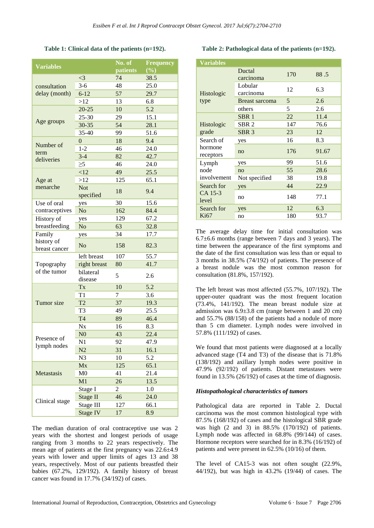**Table 1: Clinical data of the patients (n=192).**

| <b>Variables</b>                      |                       | No. of   | <b>Frequency</b> |
|---------------------------------------|-----------------------|----------|------------------|
|                                       |                       | patients | (%)              |
| consultation<br>delay (month)         | $\leq$ 3              | 74       | 38.5             |
|                                       | $3-6$                 | 48       | 25.0             |
|                                       | $6 - 12$              | 57       | 29.7             |
|                                       | >12                   | 13       | 6.8              |
| Age groups                            | $20 - 25$             | 10       | 5.2              |
|                                       | 25-30                 | 29       | 15.1             |
|                                       | $30 - 35$             | 54       | 28.1             |
|                                       | 35-40                 | 99       | 51.6             |
| Number of<br>term<br>deliveries       | $\boldsymbol{0}$      | 18       | 9.4              |
|                                       | $1 - 2$               | 46       | 24.0             |
|                                       | $3-4$                 | 82       | 42.7             |
|                                       | $\geq 5$              | 46       | 24.0             |
| Age at<br>menarche                    | <12                   | 49       | 25.5             |
|                                       | >12                   | 125      | 65.1             |
|                                       | Not<br>specified      | 18       | 9.4              |
| Use of oral<br>contraceptives         | yes                   | 30       | 15.6             |
|                                       | N <sub>o</sub>        | 162      | 84.4             |
| History of<br>breastfeeding           | yes                   | 129      | 67.2             |
|                                       | No                    | 63       | 32.8             |
| Family<br>history of<br>breast cancer | yes                   | 34       | 17.7             |
|                                       | N <sub>o</sub>        | 158      | 82.3             |
| Topography<br>of the tumor            | left breast           | 107      | 55.7             |
|                                       | right breast          | 80       | 41.7             |
|                                       | bilateral<br>disease  | 5        | 2.6              |
| Tumor size                            | Tx                    | 10       | 5.2              |
|                                       | T1                    | 7        | 3.6              |
|                                       | T <sub>2</sub>        | 37       | 19.3             |
|                                       | T <sub>3</sub>        | 49       | 25.5             |
|                                       | T <sub>4</sub>        | 89       | 46.4             |
| Presence of<br>lymph nodes            | <b>N</b> <sub>x</sub> | 16       | 8.3              |
|                                       | N <sub>0</sub>        | 43       | 22.4             |
|                                       | N1                    | 92       | 47.9             |
|                                       | N2                    | 31       | 16.1             |
|                                       | N <sub>3</sub>        | 10       | 5.2              |
| Metastasis                            | Mx                    | 125      | 65.1             |
|                                       | M <sub>0</sub>        | 41       | 21.4             |
|                                       | M1                    | 26       | 13.5             |
| Clinical stage                        | Stage I               | 2        | 1.0              |
|                                       | Stage II              | 46       | 24.0             |
|                                       | Stage III             | 127      | 66.1             |
|                                       | <b>Stage IV</b>       | 17       | 8.9              |

The median duration of oral contraceptive use was 2 years with the shortest and longest periods of usage ranging from 3 months to 22 years respectively. The mean age of patients at the first pregnancy was 22.6±4.9 years with lower and upper limits of ages 13 and 38 years, respectively. Most of our patients breastfed their babies (67.2%, 129/192). A family history of breast cancer was found in 17.7% (34/192) of cases.

#### **Table 2: Pathological data of the patients (n=192).**

| <b>Variables</b>                  |                      |     |       |
|-----------------------------------|----------------------|-----|-------|
| Histologic<br>type                | Ductal<br>carcinoma  | 170 | 88.5  |
|                                   | Lobular<br>carcinoma | 12  | 6.3   |
|                                   | Breast sarcoma       | 5   | 2.6   |
|                                   | others               | 5   | 2.6   |
| Histologic<br>grade               | SBR <sub>1</sub>     | 22  | 11.4  |
|                                   | SBR <sub>2</sub>     | 147 | 76.6  |
|                                   | SBR <sub>3</sub>     | 23  | 12    |
| Search of<br>hormone<br>receptors | yes                  | 16  | 8.3   |
|                                   | n <sub>0</sub>       | 176 | 91.67 |
| Lymph<br>node<br>involvement      | yes                  | 99  | 51.6  |
|                                   | no                   | 55  | 28.6  |
|                                   | Not specified        | 38  | 19.8  |
| Search for<br>CA 15-3<br>level    | yes                  | 44  | 22.9  |
|                                   | no                   | 148 | 77.1  |
| Search for<br>Ki67                | yes                  | 12  | 6.3   |
|                                   | no                   | 180 | 93.7  |

The average delay time for initial consultation was 6.7±6.6 months (range between 7 days and 3 years). The time between the appearance of the first symptoms and the date of the first consultation was less than or equal to 3 months in 38.5% (74/192) of patients. The presence of a breast nodule was the most common reason for consultation (81.8%, 157/192).

The left breast was most affected (55.7%, 107/192). The upper-outer quadrant was the most frequent location (73.4%, 141/192). The mean breast nodule size at admission was  $6.9\pm3.8$  cm (range between 1 and 20 cm) and 55.7% (88/158) of the patients had a nodule of more than 5 cm diameter. Lymph nodes were involved in 57.8% (111/192) of cases.

We found that most patients were diagnosed at a locally advanced stage (T4 and T3) of the disease that is 71.8% (138/192) and axillary lymph nodes were positive in 47.9% (92/192) of patients. Distant metastases were found in 13.5% (26/192) of cases at the time of diagnosis.

#### *Histopathological characteristics of tumors*

Pathological data are reported in Table 2. Ductal carcinoma was the most common histological type with 87.5% (168/192) of cases and the histological SBR grade was high (2 and 3) in 88.5% (170/192) of patients. Lymph node was affected in 68.8% (99/144) of cases. Hormone receptors were searched for in 8.3% (16/192) of patients and were present in 62.5% (10/16) of them.

The level of CA15-3 was not often sought (22.9%, 44/192), but was high in 43.2% (19/44) of cases. The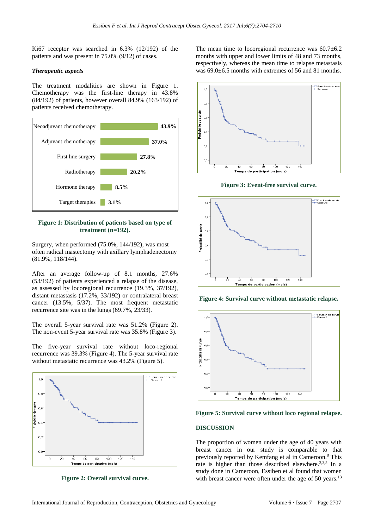Ki67 receptor was searched in 6.3% (12/192) of the patients and was present in 75.0% (9/12) of cases.

#### *Therapeutic aspects*

The treatment modalities are shown in Figure 1. Chemotherapy was the first-line therapy in 43.8% (84/192) of patients, however overall 84.9% (163/192) of patients received chemotherapy.



#### **Figure 1: Distribution of patients based on type of treatment (n=192).**

Surgery, when performed (75.0%, 144/192), was most often radical mastectomy with axillary lymphadenectomy (81.9%, 118/144).

After an average follow-up of 8.1 months, 27.6% (53/192) of patients experienced a relapse of the disease, as assessed by locoregional recurrence (19.3%, 37/192), distant metastasis (17.2%, 33/192) or contralateral breast cancer (13.5%, 5/37). The most frequent metastatic recurrence site was in the lungs (69.7%, 23/33).

The overall 5-year survival rate was 51.2% (Figure 2). The non-event 5-year survival rate was 35.8% (Figure 3).

The five-year survival rate without loco-regional recurrence was 39.3% (Figure 4). The 5-year survival rate without metastatic recurrence was 43.2% (Figure 5).



**Figure 2: Overall survival curve.**

The mean time to locoregional recurrence was  $60.7\pm6.2$ months with upper and lower limits of 48 and 73 months, respectively, whereas the mean time to relapse metastasis was  $69.0\text{±}6.5$  months with extremes of 56 and 81 months.



**Figure 3: Event-free survival curve.**



**Figure 4: Survival curve without metastatic relapse.**



**Figure 5: Survival curve without loco regional relapse.**

#### **DISCUSSION**

The proportion of women under the age of 40 years with breast cancer in our study is comparable to that previously reported by Kemfang et al in Cameroon.<sup>8</sup> This rate is higher than those described elsewhere.<sup>2,3,5</sup> In a study done in Cameroon, Essiben et al found that women with breast cancer were often under the age of 50 years.<sup>13</sup>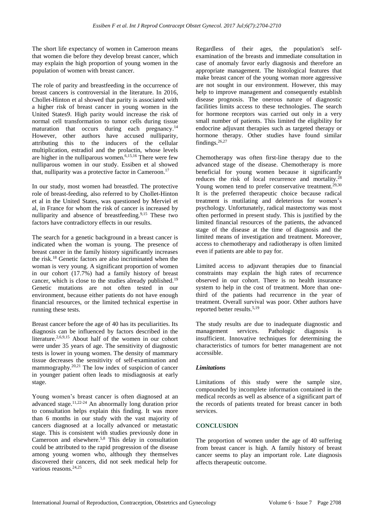The short life expectancy of women in Cameroon means that women die before they develop breast cancer, which may explain the high proportion of young women in the population of women with breast cancer.

The role of parity and breastfeeding in the occurrence of breast cancers is controversial in the literature. In 2016, Chollet-Hinton et al showed that parity is associated with a higher risk of breast cancer in young women in the United States9. High parity would increase the risk of normal cell transformation to tumor cells during tissue maturation that occurs during each pregnancy.<sup>14</sup> However, other authors have accused nulliparity, attributing this to the inducers of the cellular multiplication, estradiol and the prolactin, whose levels are higher in the nulliparous women.6,15,16 There were few nulliparous women in our study. Essiben et al showed that, nulliparity was a protective factor in Cameroon.<sup>17</sup>

In our study, most women had breastfed. The protective role of breast-feeding, also referred to by Chollet-Hinton et al in the United States, was questioned by Merviel et al, in France for whom the risk of cancer is increased by nulliparity and absence of breastfeeding.<sup>9,15</sup> These two factors have contradictory effects in our results.

The search for a genetic background in a breast cancer is indicated when the woman is young. The presence of breast cancer in the family history significantly increases the risk.<sup>18</sup> Genetic factors are also incriminated when the woman is very young. A significant proportion of women in our cohort (17.7%) had a family history of breast cancer, which is close to the studies already published.<sup>19</sup> Genetic mutations are not often tested in our environment, because either patients do not have enough financial resources, or the limited technical expertise in running these tests.

Breast cancer before the age of 40 has its peculiarities. Its diagnosis can be influenced by factors described in the literature.<sup>2,6,9,15</sup> About half of the women in our cohort were under 35 years of age. The sensitivity of diagnostic tests is lower in young women. The density of mammary tissue decreases the sensitivity of self-examination and mammography.20,21 The low index of suspicion of cancer in younger patient often leads to misdiagnosis at early stage.

Young women's breast cancer is often diagnosed at an advanced stage. 11,22-24 An abnormally long duration prior to consultation helps explain this finding. It was more than 6 months in our study with the vast majority of cancers diagnosed at a locally advanced or metastatic stage. This is consistent with studies previously done in Cameroon and elsewhere.5,8 This delay in consultation could be attributed to the rapid progression of the disease among young women who, although they themselves discovered their cancers, did not seek medical help for various reasons.<sup>24,25</sup>

Regardless of their ages, the population's selfexamination of the breasts and immediate consultation in case of anomaly favor early diagnosis and therefore an appropriate management. The histological features that make breast cancer of the young woman more aggressive are not sought in our environment. However, this may help to improve management and consequently establish disease prognosis. The onerous nature of diagnostic facilities limits access to these technologies. The search for hormone receptors was carried out only in a very small number of patients. This limited the eligibility for endocrine adjuvant therapies such as targeted therapy or hormone therapy. Other studies have found similar findings.26,27

Chemotherapy was often first-line therapy due to the advanced stage of the disease. Chemotherapy is more beneficial for young women because it significantly reduces the risk of local recurrence and mortality.<sup>28</sup> Young women tend to prefer conservative treatment.<sup>29,30</sup> It is the preferred therapeutic choice because radical treatment is mutilating and deleterious for women's psychology. Unfortunately, radical mastectomy was most often performed in present study. This is justified by the limited financial resources of the patients, the advanced stage of the disease at the time of diagnosis and the limited means of investigation and treatment. Moreover, access to chemotherapy and radiotherapy is often limited even if patients are able to pay for.

Limited access to adjuvant therapies due to financial constraints may explain the high rates of recurrence observed in our cohort. There is no health insurance system to help in the cost of treatment. More than onethird of the patients had recurrence in the year of treatment. Overall survival was poor. Other authors have reported better results.<sup>5,19</sup>

The study results are due to inadequate diagnostic and management services. Pathologic diagnosis is insufficient. Innovative techniques for determining the characteristics of tumors for better management are not accessible.

# *Limitations*

Limitations of this study were the sample size, compounded by incomplete information contained in the medical records as well as absence of a significant part of the records of patients treated for breast cancer in both services.

# **CONCLUSION**

The proportion of women under the age of 40 suffering from breast cancer is high. A family history of breast cancer seems to play an important role. Late diagnosis affects therapeutic outcome.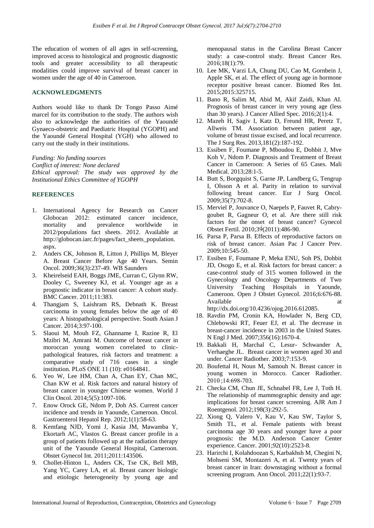The education of women of all ages in self-screening, improved access to histological and prognostic diagnostic tools and greater accessibility to all therapeutic modalities could improve survival of breast cancer in women under the age of 40 in Cameroon.

# **ACKNOWLEDGMENTS**

Authors would like to thank Dr Tongo Passo Aimé marcel for its contribution to the study. The authors wish also to acknowledge the authorities of the Yaoundé Gynaeco-obstetric and Paediatric Hospital (YGOPH) and the Yaoundé General Hospital (YGH) who allowed to carry out the study in their institutions.

*Funding: No funding sources*

*Conflict of interest: None declared Ethical approval: The study was approved by the Institutional Ethics Committee of YGOPH*

# **REFERENCES**

- 1. International Agency for Research on Cancer Globocan 2012: estimated cancer incidence, mortality and prevalence worldwide in 2012/populations fact sheets. 2012. Available at http://globocan.iarc.fr/pages/fact\_sheets\_population. aspx.
- 2. Anders CK, Johnson R, Litton J, Phillips M, Bleyer A. Breast Cancer Before Age 40 Years. Semin Oncol. 2009;36(3):237-49. WB Saunders
- 3. Kheirelseid EAH, Boggs JME, Curran C, Glynn RW, Dooley C, Sweeney KJ, et al. Younger age as a prognostic indicator in breast cancer: A cohort study. BMC Cancer. 2011;11:383.
- 4. Thangjam S, Laishram RS, Debnath K. Breast carcinoma in young females below the age of 40 years: A histopathological perspective. South Asian J Cancer. 2014;3:97-100.
- 5. Slaoui M, Mouh FZ, Ghanname I, Razine R, El Mzibri M, Amrani M. Outcome of breast cancer in moroccan young women correlated to clinicpathological features, risk factors and treatment: a comparative study of 716 cases in a single institution. PLoS ONE 11 (10): e0164841.
- 6. Yeo W, Lee HM, Chan A, Chan EY, Chan MC, Chan KW et al. Risk factors and natural history of breast cancer in younger Chinese women. World J Clin Oncol. 2014;5(5):1097-106.
- 7. Enow Orock GE, Ndom P, Doh AS. Current cancer incidence and trends in Yaounde, Cameroon. Oncol. Gastroenterol Hepatol Rep. 2012;1(1):58-63.
- 8. Kemfang NJD, Yomi J, Kasia JM, Mawamba Y, Ekortarh AC, Vlastos G. Breast cancer profile in a group of patients followed up at the radiation therapy unit of the Yaounde General Hospital, Cameroon. Obstet Gynecol Int. 2011;2011:143506.
- 9. Chollet-Hinton L, Anders CK, Tse CK, Bell MB, Yang YC, Carey LA, et al. Breast cancer biologic and etiologic heterogeneity by young age and

menopausal status in the Carolina Breast Cancer study: a case-control study. Breast Cancer Res. 2016;18(1):79.

- 10. Lee MK, Varzi LA, Chung DU, Cao M, Gornbein J, Apple SK, et al. The effect of young age in hormone receptor positive breast cancer. Biomed Res Int. 2015;2015:325715.
- 11. Bano R, Salim M, Abid M, Akif Zaidi, Khan AI. Prognosis of breast cancer in very young age (less than 30 years). J Cancer Allied Spec. 2016;2(1):4.
- 12. Mazeh H, Sagiv I, Katz D, Freund HR, Peretz T, Allweis TM. Association between patient age, volume of breast tissue excised, and local recurrence. The J Surg Res. 2013,181(2):187-192.
- 13. Essiben F, Foumane P, Mboudou E, Dohbit J, Mve Koh V, Ndom P. Diagnosis and Treatment of Breast Cancer in Cameroon: A Series of 65 Cases. Mali Medical. 2013;28:1-5.
- 14. Butt S, Borgquist S, Garne JP, Landberg G, Tengrup I, Olsson A et al. Parity in relation to survival following breast cancer. Eur J Surg Oncol. 2009;35(7):702-8.
- 15. Merviel P, Jouvance O, Naepels P, Fauvet R, Cabrygoubet R, Gagneur O, et al. Are there still risk factors for the onset of breast cancer? Gynecol Obstet Fertil. 2010;39́(2011):486-90.
- 16. Parsa P, Parsa B. Effects of reproductive factors on risk of breast cancer. Asian Pac J Cancer Prev. 2009;10:545-50.
- 17. Essiben F, Foumane P, Meka ENU, Soh PS, Dohbit JD, Osogo E, et al. Risk factors for breast cancer: a case-control study of 315 women followed in the Gynecology and Oncology Departments of Two University Teaching Hospitals in Yaounde, Cameroon. Open J Obstet Gynecol. 2016;6:676-88. Available at a state at a state at a state at a state at a state at a state at a state at a state at a state at a state at a state at a state at a state at a state at a state at a state at a state at a state at a state at

http://dx.doi.org/10.4236/ojog.2016.612085.

- 18. Ravdin PM, Cronin KA, Howlader N, Berg CD, Chlebowski RT, Feuer EJ, et al. The decrease in breast-cancer incidence in 2003 in the United States. N Engl J Med. 2007;356(16):1670-4.
- 19. Bakkali H, Marchal C, Lesur- Schwander A, Verhaeghe JL. Breast cancer in women aged 30 and under. Cancer Radiother. 2003;7:153-9.
- 20. Boufettal H, Noun M, Samouh N. Breast cancer in young women in Morocco. Cancer Radiother. 2010 ;14:698-703.
- 21. Checka CM, Chun JE, Schnabel FR, Lee J, Toth H. The relationship of mammographic density and age: implications for breast cancer screening. AJR Am J Roentgenol. 2012;198(3):292-5.
- 22. Xiong Q, Valero V, Kau V, Kau SW, Taylor S, Smith TL, et al. Female patients with breast carcinoma age 30 years and younger have a poor prognosis: the M.D. Anderson Cancer Center experience. Cancer. 2001;92(10):2523-8.
- 23. Harirchi I, Kolahdoozan S, Karbakhsh M, Chegini N, Mohseni SM, Montazeri A, et al. Twenty years of breast cancer in Iran: downstaging without a formal screening program. Ann Oncol. 2011;22(1):93-7.